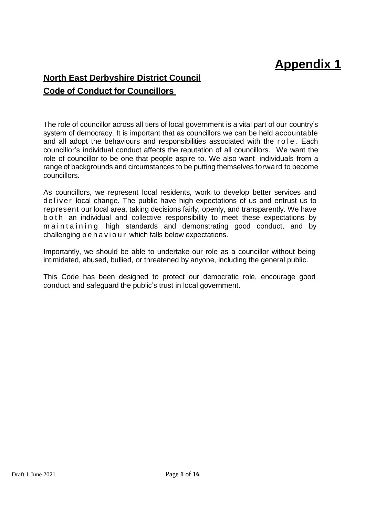# **Appendix 1**

## **North East Derbyshire District Council Code of Conduct for Councillors**

The role of councillor across all tiers of local government is a vital part of our country's system of democracy. It is important that as councillors we can be held accountable and all adopt the behaviours and responsibilities associated with the role. Each councillor's individual conduct affects the reputation of all councillors. We want the role of councillor to be one that people aspire to. We also want individuals from a range of backgrounds and circumstances to be putting themselves forward to become councillors.

As councillors, we represent local residents, work to develop better services and deliver local change. The public have high expectations of us and entrust us to represent our local area, taking decisions fairly, openly, and transparently. We have b o t h an individual and collective responsibility to meet these expectations by m a intaining high standards and demonstrating good conduct, and by challenging b e h a v i o u r which falls below expectations.

Importantly, we should be able to undertake our role as a councillor without being intimidated, abused, bullied, or threatened by anyone, including the general public.

This Code has been designed to protect our democratic role, encourage good conduct and safeguard the public's trust in local government.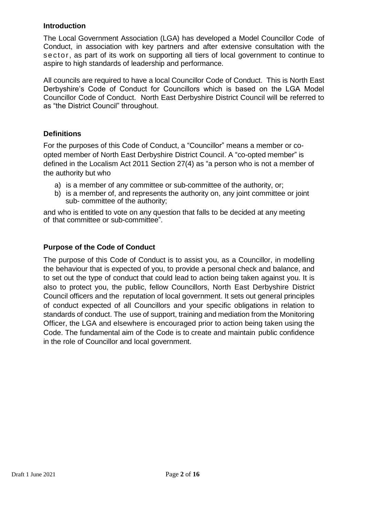#### **Introduction**

The Local Government Association (LGA) has developed a Model Councillor Code of Conduct, in association with key partners and after extensive consultation with the sector, as part of its work on supporting all tiers of local government to continue to aspire to high standards of leadership and performance.

All councils are required to have a local Councillor Code of Conduct. This is North East Derbyshire's Code of Conduct for Councillors which is based on the LGA Model Councillor Code of Conduct. North East Derbyshire District Council will be referred to as "the District Council" throughout.

#### **Definitions**

For the purposes of this Code of Conduct, a "Councillor" means a member or coopted member of North East Derbyshire District Council. A "co-opted member" is defined in the Localism Act 2011 Section 27(4) as "a person who is not a member of the authority but who

- a) is a member of any committee or sub-committee of the authority, or;
- b) is a member of, and represents the authority on, any joint committee or joint sub- committee of the authority;

and who is entitled to vote on any question that falls to be decided at any meeting of that committee or sub-committee".

#### **Purpose of the Code of Conduct**

The purpose of this Code of Conduct is to assist you, as a Councillor, in modelling the behaviour that is expected of you, to provide a personal check and balance, and to set out the type of conduct that could lead to action being taken against you. It is also to protect you, the public, fellow Councillors, North East Derbyshire District Council officers and the reputation of local government. It sets out general principles of conduct expected of all Councillors and your specific obligations in relation to standards of conduct. The use of support, training and mediation from the Monitoring Officer, the LGA and elsewhere is encouraged prior to action being taken using the Code. The fundamental aim of the Code is to create and maintain public confidence in the role of Councillor and local government.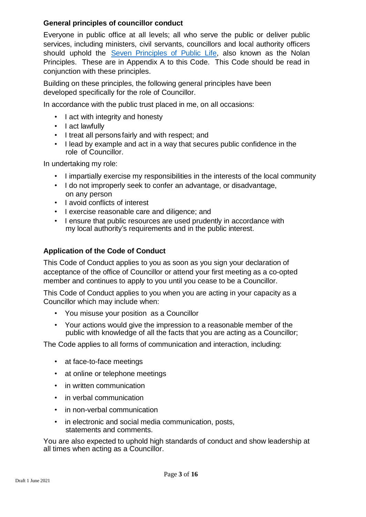#### **General principles of councillor conduct**

Everyone in public office at all levels; all who serve the public or deliver public services, including ministers, civil servants, councillors and local authority officers should uphold the Seven [Principles](https://www.gov.uk/government/publications/the-7-principles-of-public-life/the-7-principles-of-public-life--2) of Public Lif[e,](https://www.gov.uk/government/publications/the-7-principles-of-public-life/the-7-principles-of-public-life--2) also known as the Nolan Principles. These are in Appendix A to this Code. This Code should be read in conjunction with these principles.

Building on these principles, the following general principles have been developed specifically for the role of Councillor.

In accordance with the public trust placed in me, on all occasions:

- I act with integrity and honesty
- I act lawfully
- I treat all persons fairly and with respect; and
- I lead by example and act in a way that secures public confidence in the role of Councillor.

In undertaking my role:

- I impartially exercise my responsibilities in the interests of the local community
- I do not improperly seek to confer an advantage, or disadvantage, on any person
- I avoid conflicts of interest
- I exercise reasonable care and diligence; and
- I ensure that public resources are used prudently in accordance with my local authority's requirements and in the public interest.

#### **Application of the Code of Conduct**

This Code of Conduct applies to you as soon as you sign your declaration of acceptance of the office of Councillor or attend your first meeting as a co-opted member and continues to apply to you until you cease to be a Councillor.

This Code of Conduct applies to you when you are acting in your capacity as a Councillor which may include when:

- You misuse your position as a Councillor
- Your actions would give the impression to a reasonable member of the public with knowledge of all the facts that you are acting as a Councillor;

The Code applies to all forms of communication and interaction, including:

- at face-to-face meetings
- at online or telephone meetings
- in written communication
- in verbal communication
- in non-verbal communication
- in electronic and social media communication, posts, statements and comments.

You are also expected to uphold high standards of conduct and show leadership at all times when acting as a Councillor.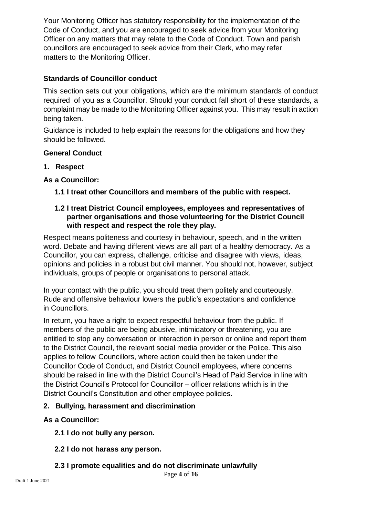Your Monitoring Officer has statutory responsibility for the implementation of the Code of Conduct, and you are encouraged to seek advice from your Monitoring Officer on any matters that may relate to the Code of Conduct. Town and parish councillors are encouraged to seek advice from their Clerk, who may refer matters to the Monitoring Officer.

#### **Standards of Councillor conduct**

This section sets out your obligations, which are the minimum standards of conduct required of you as a Councillor. Should your conduct fall short of these standards, a complaint may be made to the Monitoring Officer against you. This may result in action being taken.

Guidance is included to help explain the reasons for the obligations and how they should be followed.

#### **General Conduct**

**1. Respect**

#### **As a Councillor:**

**1.1 I treat other Councillors and members of the public with respect.**

#### **1.2 I treat District Council employees, employees and representatives of partner organisations and those volunteering for the District Council with respect and respect the role they play.**

Respect means politeness and courtesy in behaviour, speech, and in the written word. Debate and having different views are all part of a healthy democracy. As a Councillor, you can express, challenge, criticise and disagree with views, ideas, opinions and policies in a robust but civil manner. You should not, however, subject individuals, groups of people or organisations to personal attack.

In your contact with the public, you should treat them politely and courteously. Rude and offensive behaviour lowers the public's expectations and confidence in Councillors.

In return, you have a right to expect respectful behaviour from the public. If members of the public are being abusive, intimidatory or threatening, you are entitled to stop any conversation or interaction in person or online and report them to the District Council, the relevant social media provider or the Police. This also applies to fellow Councillors, where action could then be taken under the Councillor Code of Conduct, and District Council employees, where concerns should be raised in line with the District Council's Head of Paid Service in line with the District Council's Protocol for Councillor – officer relations which is in the District Council's Constitution and other employee policies.

#### **2. Bullying, harassment and discrimination**

#### **As a Councillor:**

- **2.1 I do not bully any person.**
- **2.2 I do not harass any person.**
- **2.3 I promote equalities and do not discriminate unlawfully**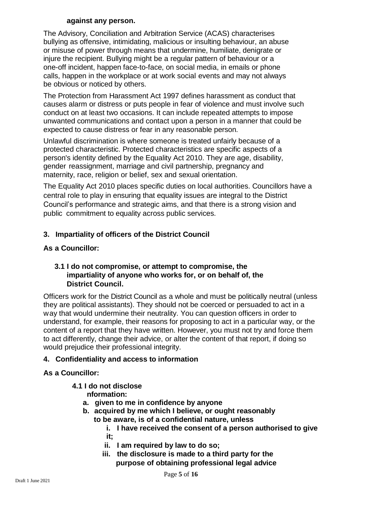#### **against any person.**

The Advisory, Conciliation and Arbitration Service (ACAS) characterises bullying as offensive, intimidating, malicious or insulting behaviour, an abuse or misuse of power through means that undermine, humiliate, denigrate or injure the recipient. Bullying might be a regular pattern of behaviour or a one-off incident, happen face-to-face, on social media, in emails or phone calls, happen in the workplace or at work social events and may not always be obvious or noticed by others.

The Protection from Harassment Act 1997 defines harassment as conduct that causes alarm or distress or puts people in fear of violence and must involve such conduct on at least two occasions. It can include repeated attempts to impose unwanted communications and contact upon a person in a manner that could be expected to cause distress or fear in any reasonable person.

Unlawful discrimination is where someone is treated unfairly because of a protected characteristic. Protected characteristics are specific aspects of a person's identity defined by the Equality Act 2010. They are age, disability, gender reassignment, marriage and civil partnership, pregnancy and maternity, race, religion or belief, sex and sexual orientation.

The Equality Act 2010 places specific duties on local authorities. Councillors have a central role to play in ensuring that equality issues are integral to the District Council's performance and strategic aims, and that there is a strong vision and public commitment to equality across public services.

## **3. Impartiality of officers of the District Council**

#### **As a Councillor:**

#### **3.1 I do not compromise, or attempt to compromise, the impartiality of anyone who works for, or on behalf of, the District Council.**

Officers work for the District Council as a whole and must be politically neutral (unless they are political assistants). They should not be coerced or persuaded to act in a way that would undermine their neutrality. You can question officers in order to understand, for example, their reasons for proposing to act in a particular way, or the content of a report that they have written. However, you must not try and force them to act differently, change their advice, or alter the content of that report, if doing so would prejudice their professional integrity.

#### **4. Confidentiality and access to information**

#### **As a Councillor:**

- **4.1 I do not disclose**
	- **nformation:**
	- **a. given to me in confidence by anyone**
	- **b. acquired by me which I believe, or ought reasonably** 
		- **to be aware, is of a confidential nature, unless**
			- **i. I have received the consent of a person authorised to give it;**
			- **ii. I am required by law to do so;**
			- **iii. the disclosure is made to a third party for the purpose of obtaining professional legal advice**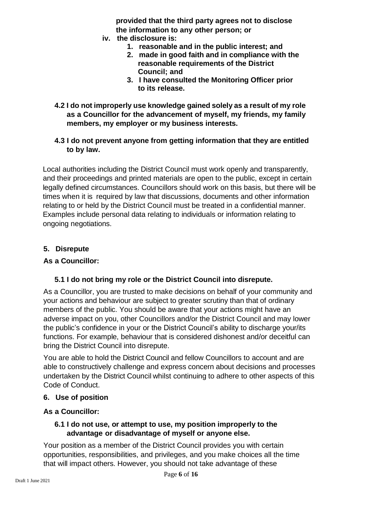**provided that the third party agrees not to disclose the information to any other person; or**

- **iv. the disclosure is:**
	- **1. reasonable and in the public interest; and**
	- **2. made in good faith and in compliance with the reasonable requirements of the District Council; and**
	- **3. I have consulted the Monitoring Officer prior to its release.**
- **4.2 I do not improperly use knowledge gained solely as a result of my role as a Councillor for the advancement of myself, my friends, my family members, my employer or my business interests.**
- **4.3 I do not prevent anyone from getting information that they are entitled to by law.**

Local authorities including the District Council must work openly and transparently, and their proceedings and printed materials are open to the public, except in certain legally defined circumstances. Councillors should work on this basis, but there will be times when it is required by law that discussions, documents and other information relating to or held by the District Council must be treated in a confidential manner. Examples include personal data relating to individuals or information relating to ongoing negotiations.

#### **5. Disrepute**

#### **As a Councillor:**

#### **5.1 I do not bring my role or the District Council into disrepute.**

As a Councillor, you are trusted to make decisions on behalf of your community and your actions and behaviour are subject to greater scrutiny than that of ordinary members of the public. You should be aware that your actions might have an adverse impact on you, other Councillors and/or the District Council and may lower the public's confidence in your or the District Council's ability to discharge your/its functions. For example, behaviour that is considered dishonest and/or deceitful can bring the District Council into disrepute.

You are able to hold the District Council and fellow Councillors to account and are able to constructively challenge and express concern about decisions and processes undertaken by the District Council whilst continuing to adhere to other aspects of this Code of Conduct.

#### **6. Use of position**

#### **As a Councillor:**

#### **6.1 I do not use, or attempt to use, my position improperly to the advantage or disadvantage of myself or anyone else.**

Your position as a member of the District Council provides you with certain opportunities, responsibilities, and privileges, and you make choices all the time that will impact others. However, you should not take advantage of these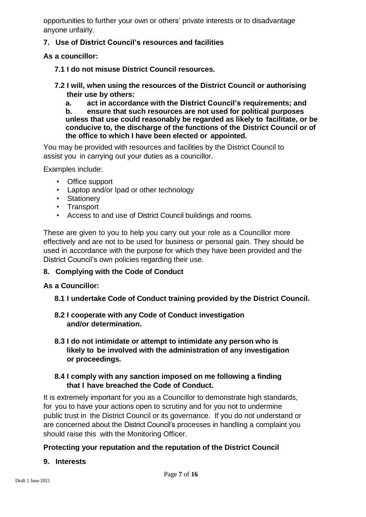opportunities to further your own or others' private interests or to disadvantage anyone unfairly.

## **7. Use of District Council's resources and facilities**

**As a councillor:**

- **7.1 I do not misuse District Council resources.**
- **7.2 I will, when using the resources of the District Council or authorising their use by others:**

**a. act in accordance with the District Council's requirements; and b. ensure that such resources are not used for political purposes unless that use could reasonably be regarded as likely to facilitate, or be conducive to, the discharge of the functions of the District Council or of the office to which I have been elected or appointed.**

You may be provided with resources and facilities by the District Council to assist you in carrying out your duties as a councillor.

Examples include:

- Office support
- Laptop and/or Ipad or other technology
- Stationery
- Transport
- Access to and use of District Council buildings and rooms.

These are given to you to help you carry out your role as a Councillor more effectively and are not to be used for business or personal gain. They should be used in accordance with the purpose for which they have been provided and the District Council's own policies regarding their use.

#### **8. Complying with the Code of Conduct**

#### **As a Councillor:**

#### **8.1 I undertake Code of Conduct training provided by the District Council.**

#### **8.2 I cooperate with any Code of Conduct investigation and/or determination.**

**8.3 I do not intimidate or attempt to intimidate any person who is likely to be involved with the administration of any investigation or proceedings.**

#### **8.4 I comply with any sanction imposed on me following a finding that I have breached the Code of Conduct.**

It is extremely important for you as a Councillor to demonstrate high standards, for you to have your actions open to scrutiny and for you not to undermine public trust in the District Council or its governance. If you do not understand or are concerned about the District Council's processes in handling a complaint you should raise this with the Monitoring Officer.

#### **Protecting your reputation and the reputation of the District Council**

#### **9. Interests**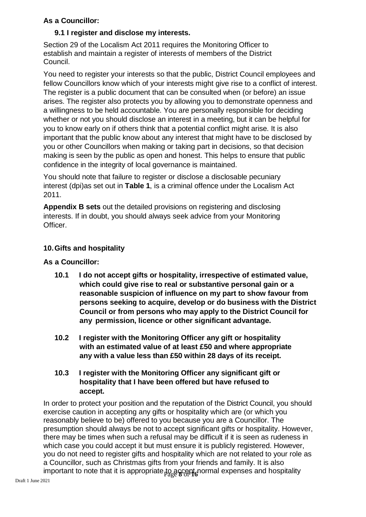## **As a Councillor:**

## **9.1 I register and disclose my interests.**

Section 29 of the Localism Act 2011 requires the Monitoring Officer to establish and maintain a register of interests of members of the District Council.

You need to register your interests so that the public, District Council employees and fellow Councillors know which of your interests might give rise to a conflict of interest. The register is a public document that can be consulted when (or before) an issue arises. The register also protects you by allowing you to demonstrate openness and a willingness to be held accountable. You are personally responsible for deciding whether or not you should disclose an interest in a meeting, but it can be helpful for you to know early on if others think that a potential conflict might arise. It is also important that the public know about any interest that might have to be disclosed by you or other Councillors when making or taking part in decisions, so that decision making is seen by the public as open and honest. This helps to ensure that public confidence in the integrity of local governance is maintained.

You should note that failure to register or disclose a disclosable pecuniary interest (dpi)as set out in **Table 1**, is a criminal offence under the Localism Act 2011.

**Appendix B sets** out the detailed provisions on registering and disclosing interests. If in doubt, you should always seek advice from your Monitoring Officer.

#### **10.Gifts and hospitality**

#### **As a Councillor:**

- **10.1 I do not accept gifts or hospitality, irrespective of estimated value, which could give rise to real or substantive personal gain or a reasonable suspicion of influence on my part to show favour from persons seeking to acquire, develop or do business with the District Council or from persons who may apply to the District Council for any permission, licence or other significant advantage.**
- **10.2 I register with the Monitoring Officer any gift or hospitality with an estimated value of at least £50 and where appropriate any with a value less than £50 within 28 days of its receipt.**
- **10.3 I register with the Monitoring Officer any significant gift or hospitality that I have been offered but have refused to accept.**

important to note that it is appropriate<sub>p</sub>to accept normal expenses and hospitality In order to protect your position and the reputation of the District Council, you should exercise caution in accepting any gifts or hospitality which are (or which you reasonably believe to be) offered to you because you are a Councillor. The presumption should always be not to accept significant gifts or hospitality. However, there may be times when such a refusal may be difficult if it is seen as rudeness in which case you could accept it but must ensure it is publicly registered. However, you do not need to register gifts and hospitality which are not related to your role as a Councillor, such as Christmas gifts from your friends and family. It is also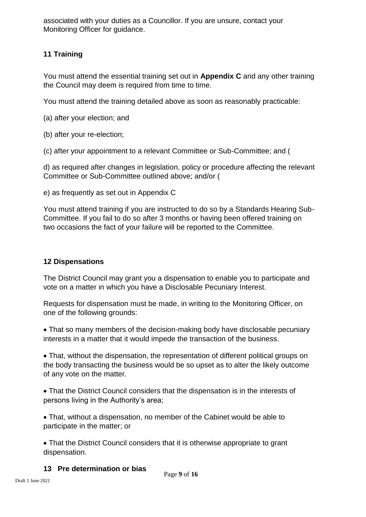associated with your duties as a Councillor. If you are unsure, contact your Monitoring Officer for guidance.

## **11 Training**

You must attend the essential training set out in **Appendix C** and any other training the Council may deem is required from time to time.

You must attend the training detailed above as soon as reasonably practicable:

- (a) after your election; and
- (b) after your re-election;
- (c) after your appointment to a relevant Committee or Sub-Committee; and (

d) as required after changes in legislation, policy or procedure affecting the relevant Committee or Sub-Committee outlined above; and/or (

e) as frequently as set out in Appendix C

You must attend training if you are instructed to do so by a Standards Hearing Sub-Committee. If you fail to do so after 3 months or having been offered training on two occasions the fact of your failure will be reported to the Committee.

#### **12 Dispensations**

The District Council may grant you a dispensation to enable you to participate and vote on a matter in which you have a Disclosable Pecuniary Interest.

Requests for dispensation must be made, in writing to the Monitoring Officer, on one of the following grounds:

 That so many members of the decision-making body have disclosable pecuniary interests in a matter that it would impede the transaction of the business.

 That, without the dispensation, the representation of different political groups on the body transacting the business would be so upset as to alter the likely outcome of any vote on the matter.

 That the District Council considers that the dispensation is in the interests of persons living in the Authority's area;

 That, without a dispensation, no member of the Cabinet would be able to participate in the matter; or

 That the District Council considers that it is otherwise appropriate to grant dispensation.

#### **13 Pre determination or bias**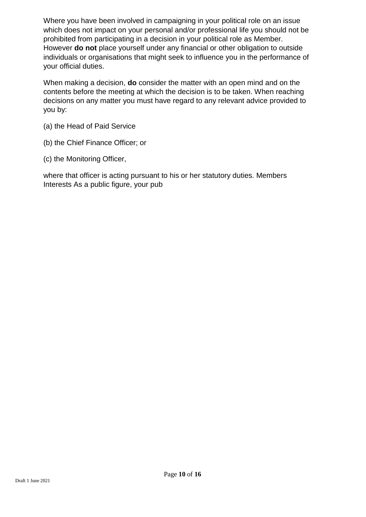Where you have been involved in campaigning in your political role on an issue which does not impact on your personal and/or professional life you should not be prohibited from participating in a decision in your political role as Member. However **do not** place yourself under any financial or other obligation to outside individuals or organisations that might seek to influence you in the performance of your official duties.

When making a decision, **do** consider the matter with an open mind and on the contents before the meeting at which the decision is to be taken. When reaching decisions on any matter you must have regard to any relevant advice provided to you by:

- (a) the Head of Paid Service
- (b) the Chief Finance Officer; or
- (c) the Monitoring Officer,

where that officer is acting pursuant to his or her statutory duties. Members Interests As a public figure, your pub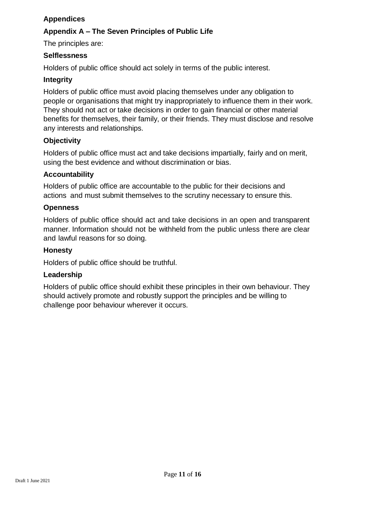## **Appendices**

## **Appendix A – The Seven Principles of Public Life**

The principles are:

#### **Selflessness**

Holders of public office should act solely in terms of the public interest.

#### **Integrity**

Holders of public office must avoid placing themselves under any obligation to people or organisations that might try inappropriately to influence them in their work. They should not act or take decisions in order to gain financial or other material benefits for themselves, their family, or their friends. They must disclose and resolve any interests and relationships.

#### **Objectivity**

Holders of public office must act and take decisions impartially, fairly and on merit, using the best evidence and without discrimination or bias.

#### **Accountability**

Holders of public office are accountable to the public for their decisions and actions and must submit themselves to the scrutiny necessary to ensure this.

#### **Openness**

Holders of public office should act and take decisions in an open and transparent manner. Information should not be withheld from the public unless there are clear and lawful reasons for so doing.

#### **Honesty**

Holders of public office should be truthful.

#### **Leadership**

Holders of public office should exhibit these principles in their own behaviour. They should actively promote and robustly support the principles and be willing to challenge poor behaviour wherever it occurs.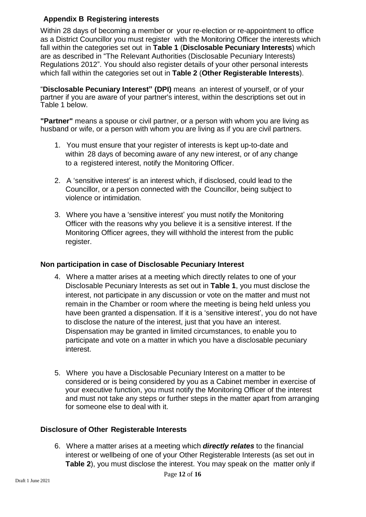## **Appendix B Registering interests**

Within 28 days of becoming a member or your re-election or re-appointment to office as a District Councillor you must register with the Monitoring Officer the interests which fall within the categories set out in **Table 1** (**Disclosable Pecuniary Interests**) which are as described in "The Relevant Authorities (Disclosable Pecuniary Interests) Regulations 2012". You should also register details of your other personal interests which fall within the categories set out in **Table 2** (**Other Registerable Interests**).

"**Disclosable Pecuniary Interest" (DPI)** means an interest of yourself, or of your partner if you are aware of your partner's interest, within the descriptions set out in Table 1 below.

**"Partner"** means a spouse or civil partner, or a person with whom you are living as husband or wife, or a person with whom you are living as if you are civil partners.

- 1. You must ensure that your register of interests is kept up-to-date and within 28 days of becoming aware of any new interest, or of any change to a registered interest, notify the Monitoring Officer.
- 2. A 'sensitive interest' is an interest which, if disclosed, could lead to the Councillor, or a person connected with the Councillor, being subject to violence or intimidation.
- 3. Where you have a 'sensitive interest' you must notify the Monitoring Officer with the reasons why you believe it is a sensitive interest. If the Monitoring Officer agrees, they will withhold the interest from the public register.

#### **Non participation in case of Disclosable Pecuniary Interest**

- 4. Where a matter arises at a meeting which directly relates to one of your Disclosable Pecuniary Interests as set out in **Table 1**, you must disclose the interest, not participate in any discussion or vote on the matter and must not remain in the Chamber or room where the meeting is being held unless you have been granted a dispensation. If it is a 'sensitive interest', you do not have to disclose the nature of the interest, just that you have an interest. Dispensation may be granted in limited circumstances, to enable you to participate and vote on a matter in which you have a disclosable pecuniary interest.
- 5. Where you have a Disclosable Pecuniary Interest on a matter to be considered or is being considered by you as a Cabinet member in exercise of your executive function, you must notify the Monitoring Officer of the interest and must not take any steps or further steps in the matter apart from arranging for someone else to deal with it.

#### **Disclosure of Other Registerable Interests**

6. Where a matter arises at a meeting which *directly relates* to the financial interest or wellbeing of one of your Other Registerable Interests (as set out in **Table 2**), you must disclose the interest. You may speak on the matter only if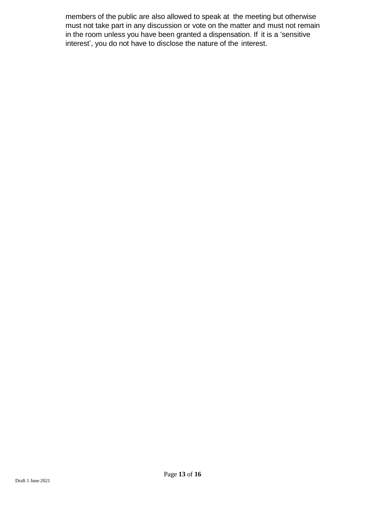members of the public are also allowed to speak at the meeting but otherwise must not take part in any discussion or vote on the matter and must not remain in the room unless you have been granted a dispensation. If it is a 'sensitive interest', you do not have to disclose the nature of the interest.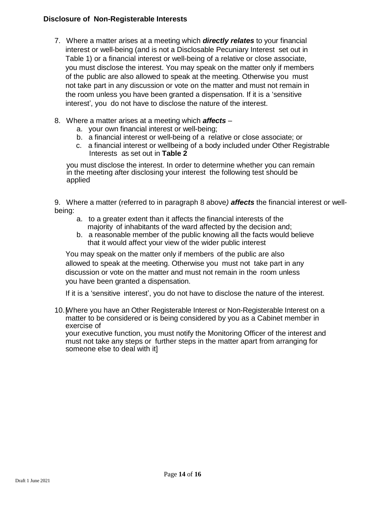#### **Disclosure of Non-Registerable Interests**

- 7. Where a matter arises at a meeting which *directly relates* to your financial interest or well-being (and is not a Disclosable Pecuniary Interest set out in Table 1) or a financial interest or well-being of a relative or close associate, you must disclose the interest. You may speak on the matter only if members of the public are also allowed to speak at the meeting. Otherwise you must not take part in any discussion or vote on the matter and must not remain in the room unless you have been granted a dispensation. If it is a 'sensitive interest', you do not have to disclose the nature of the interest.
- 8. Where a matter arises at a meeting which *affects*
	- a. your own financial interest or well-being;
	- b. a financial interest or well-being of a relative or close associate; or
	- c. a financial interest or wellbeing of a body included under Other Registrable Interests as set out in **Table 2**

you must disclose the interest. In order to determine whether you can remain in the meeting after disclosing your interest the following test should be applied

9. Where a matter (referred to in paragraph 8 above*) affects* the financial interest or wellbeing:

- a. to a greater extent than it affects the financial interests of the majority of inhabitants of the ward affected by the decision and;
- b. a reasonable member of the public knowing all the facts would believe that it would affect your view of the wider public interest

You may speak on the matter only if members of the public are also allowed to speak at the meeting. Otherwise you must not take part in any discussion or vote on the matter and must not remain in the room unless you have been granted a dispensation.

If it is a 'sensitive interest', you do not have to disclose the nature of the interest.

10. Where you have an Other Registerable Interest or Non-Registerable Interest on a matter to be considered or is being considered by you as a Cabinet member in exercise of

your executive function, you must notify the Monitoring Officer of the interest and must not take any steps or further steps in the matter apart from arranging for someone else to deal with it]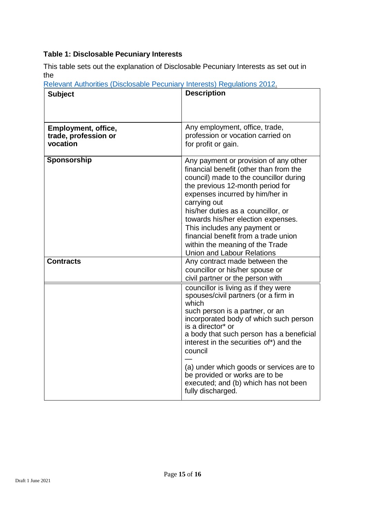## **Table 1: Disclosable Pecuniary Interests**

This table sets out the explanation of Disclosable Pecuniary Interests as set out in the

| n <del>c</del> icvani<br><b>Subject</b>                        | <b>INGUUIQUUIS ZUTZ</b><br><b>Description</b>                                                                                                                                                                                                                                                                                                                                                                                                |  |
|----------------------------------------------------------------|----------------------------------------------------------------------------------------------------------------------------------------------------------------------------------------------------------------------------------------------------------------------------------------------------------------------------------------------------------------------------------------------------------------------------------------------|--|
|                                                                |                                                                                                                                                                                                                                                                                                                                                                                                                                              |  |
| <b>Employment, office,</b><br>trade, profession or<br>vocation | Any employment, office, trade,<br>profession or vocation carried on<br>for profit or gain.                                                                                                                                                                                                                                                                                                                                                   |  |
| Sponsorship                                                    | Any payment or provision of any other<br>financial benefit (other than from the<br>council) made to the councillor during<br>the previous 12-month period for<br>expenses incurred by him/her in<br>carrying out<br>his/her duties as a councillor, or<br>towards his/her election expenses.<br>This includes any payment or<br>financial benefit from a trade union<br>within the meaning of the Trade<br><b>Union and Labour Relations</b> |  |
| <b>Contracts</b>                                               | Any contract made between the<br>councillor or his/her spouse or<br>civil partner or the person with                                                                                                                                                                                                                                                                                                                                         |  |
|                                                                | councillor is living as if they were<br>spouses/civil partners (or a firm in<br>which<br>such person is a partner, or an<br>incorporated body of which such person<br>is a director* or<br>a body that such person has a beneficial<br>interest in the securities of*) and the<br>council<br>(a) under which goods or services are to                                                                                                        |  |
|                                                                | be provided or works are to be<br>executed; and (b) which has not been<br>fully discharged.                                                                                                                                                                                                                                                                                                                                                  |  |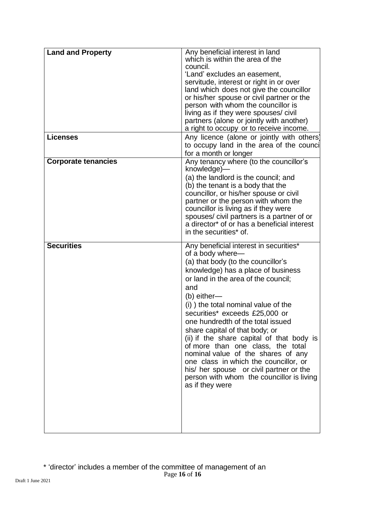| <b>Land and Property</b>   | Any beneficial interest in land<br>which is within the area of the<br>council.<br>'Land' excludes an easement,<br>servitude, interest or right in or over<br>land which does not give the councillor<br>or his/her spouse or civil partner or the<br>person with whom the councillor is<br>living as if they were spouses/ civil<br>partners (alone or jointly with another)<br>a right to occupy or to receive income.                                                                                                                                                                                                          |
|----------------------------|----------------------------------------------------------------------------------------------------------------------------------------------------------------------------------------------------------------------------------------------------------------------------------------------------------------------------------------------------------------------------------------------------------------------------------------------------------------------------------------------------------------------------------------------------------------------------------------------------------------------------------|
| <b>Licenses</b>            | Any licence (alone or jointly with others)<br>to occupy land in the area of the counci<br>for a month or longer                                                                                                                                                                                                                                                                                                                                                                                                                                                                                                                  |
| <b>Corporate tenancies</b> | Any tenancy where (to the councillor's<br>knowledge)-<br>(a) the landlord is the council; and<br>(b) the tenant is a body that the<br>councillor, or his/her spouse or civil<br>partner or the person with whom the<br>councillor is living as if they were<br>spouses/ civil partners is a partner of or<br>a director* of or has a beneficial interest<br>in the securities* of.                                                                                                                                                                                                                                               |
| <b>Securities</b>          | Any beneficial interest in securities*<br>of a body where-<br>(a) that body (to the councillor's<br>knowledge) has a place of business<br>or land in the area of the council;<br>and<br>$(b)$ either—<br>(i) the total nominal value of the<br>securities* exceeds £25,000 or<br>one hundredth of the total issued<br>share capital of that body; or<br>(ii) if the share capital of that body is<br>of more than one class, the total<br>nominal value of the shares of any<br>one class in which the councillor, or<br>his/ her spouse or civil partner or the<br>person with whom the councillor is living<br>as if they were |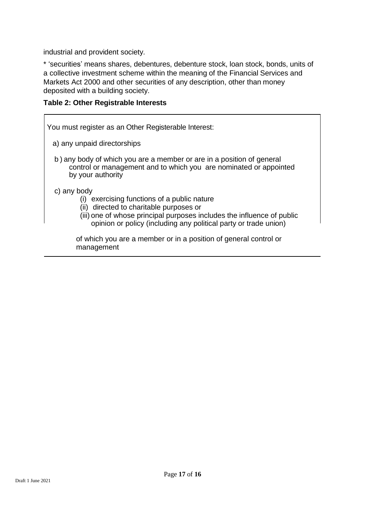industrial and provident society.

\* 'securities' means shares, debentures, debenture stock, loan stock, bonds, units of a collective investment scheme within the meaning of the Financial Services and Markets Act 2000 and other securities of any description, other than money deposited with a building society.

**Table 2: Other Registrable Interests**

You must register as an Other Registerable Interest:

a) any unpaid directorships

b ) any body of which you are a member or are in a position of general control or management and to which you are nominated or appointed by your authority

c) any body

- (i) exercising functions of a public nature
- (ii) directed to charitable purposes or
- (iii) one of whose principal purposes includes the influence of public opinion or policy (including any political party or trade union)

of which you are a member or in a position of general control or management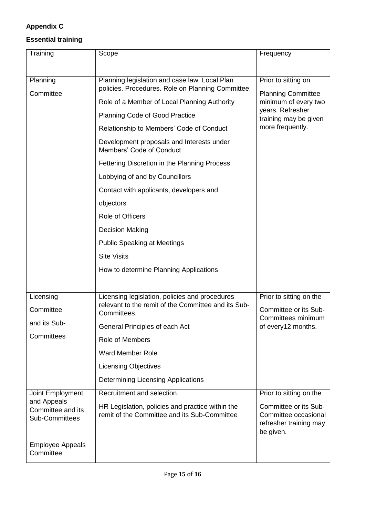## **Appendix C**

## **Essential training**

| Training                                   | Scope                                                                                            | Frequency                                        |
|--------------------------------------------|--------------------------------------------------------------------------------------------------|--------------------------------------------------|
|                                            |                                                                                                  |                                                  |
| Planning                                   | Planning legislation and case law. Local Plan                                                    | Prior to sitting on<br><b>Planning Committee</b> |
| Committee                                  | policies. Procedures. Role on Planning Committee.                                                |                                                  |
|                                            | Role of a Member of Local Planning Authority                                                     | minimum of every two<br>years. Refresher         |
|                                            | <b>Planning Code of Good Practice</b>                                                            | training may be given<br>more frequently.        |
|                                            | Relationship to Members' Code of Conduct                                                         |                                                  |
|                                            | Development proposals and Interests under<br>Members' Code of Conduct                            |                                                  |
|                                            | Fettering Discretion in the Planning Process                                                     |                                                  |
|                                            | Lobbying of and by Councillors                                                                   |                                                  |
|                                            | Contact with applicants, developers and                                                          |                                                  |
|                                            | objectors                                                                                        |                                                  |
|                                            | Role of Officers                                                                                 |                                                  |
|                                            | <b>Decision Making</b>                                                                           |                                                  |
|                                            | <b>Public Speaking at Meetings</b>                                                               |                                                  |
|                                            | <b>Site Visits</b>                                                                               |                                                  |
|                                            | How to determine Planning Applications                                                           |                                                  |
|                                            |                                                                                                  |                                                  |
| Licensing                                  | Licensing legislation, policies and procedures                                                   | Prior to sitting on the                          |
| Committee                                  | relevant to the remit of the Committee and its Sub-<br>Committees.                               | Committee or its Sub-                            |
| and its Sub-                               | General Principles of each Act                                                                   | Committees minimum<br>of every12 months.         |
| Committees                                 | <b>Role of Members</b>                                                                           |                                                  |
|                                            | <b>Ward Member Role</b>                                                                          |                                                  |
|                                            | <b>Licensing Objectives</b>                                                                      |                                                  |
|                                            | <b>Determining Licensing Applications</b>                                                        |                                                  |
| Joint Employment                           | Recruitment and selection.                                                                       | Prior to sitting on the                          |
| and Appeals                                |                                                                                                  | Committee or its Sub-                            |
| Committee and its<br><b>Sub-Committees</b> | HR Legislation, policies and practice within the<br>remit of the Committee and its Sub-Committee | Committee occasional                             |
|                                            |                                                                                                  | refresher training may<br>be given.              |
| <b>Employee Appeals</b><br>Committee       |                                                                                                  |                                                  |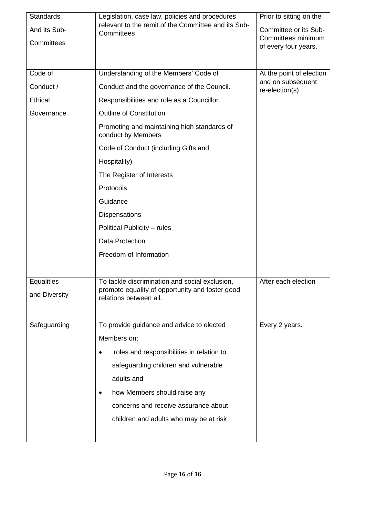| <b>Standards</b>  | Legislation, case law, policies and procedures<br>relevant to the remit of the Committee and its Sub-<br>Committees | Prior to sitting on the                       |
|-------------------|---------------------------------------------------------------------------------------------------------------------|-----------------------------------------------|
| And its Sub-      |                                                                                                                     | Committee or its Sub-                         |
| Committees        |                                                                                                                     | Committees minimum<br>of every four years.    |
|                   |                                                                                                                     |                                               |
|                   |                                                                                                                     |                                               |
| Code of           | Understanding of the Members' Code of                                                                               | At the point of election<br>and on subsequent |
| Conduct /         | Conduct and the governance of the Council.                                                                          | re-election(s)                                |
| <b>Ethical</b>    | Responsibilities and role as a Councillor.                                                                          |                                               |
| Governance        | <b>Outline of Constitution</b>                                                                                      |                                               |
|                   | Promoting and maintaining high standards of<br>conduct by Members                                                   |                                               |
|                   | Code of Conduct (including Gifts and                                                                                |                                               |
|                   | Hospitality)                                                                                                        |                                               |
|                   | The Register of Interests                                                                                           |                                               |
|                   | Protocols                                                                                                           |                                               |
|                   | Guidance                                                                                                            |                                               |
|                   | Dispensations                                                                                                       |                                               |
|                   | Political Publicity - rules                                                                                         |                                               |
|                   | <b>Data Protection</b>                                                                                              |                                               |
|                   | Freedom of Information                                                                                              |                                               |
|                   |                                                                                                                     |                                               |
| <b>Equalities</b> | To tackle discrimination and social exclusion,                                                                      | After each election                           |
| and Diversity     | promote equality of opportunity and foster good                                                                     |                                               |
|                   | relations between all.                                                                                              |                                               |
|                   |                                                                                                                     |                                               |
| Safeguarding      | To provide guidance and advice to elected                                                                           | Every 2 years.                                |
|                   | Members on;                                                                                                         |                                               |
|                   | roles and responsibilities in relation to                                                                           |                                               |
|                   | safeguarding children and vulnerable                                                                                |                                               |
|                   | adults and                                                                                                          |                                               |
|                   | how Members should raise any                                                                                        |                                               |
|                   | concerns and receive assurance about                                                                                |                                               |
|                   | children and adults who may be at risk                                                                              |                                               |
|                   |                                                                                                                     |                                               |